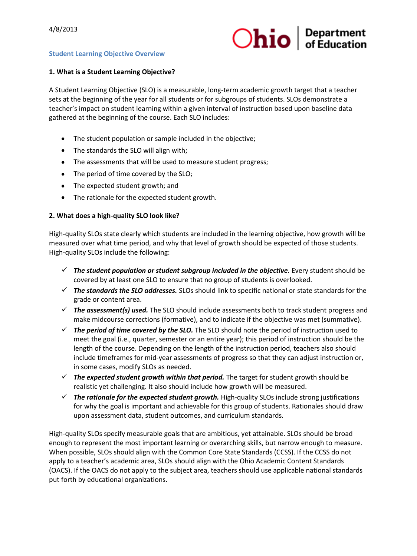

## **Student Learning Objective Overview**

## **1. What is a Student Learning Objective?**

A Student Learning Objective (SLO) is a measurable, long-term academic growth target that a teacher sets at the beginning of the year for all students or for subgroups of students. SLOs demonstrate a teacher's impact on student learning within a given interval of instruction based upon baseline data gathered at the beginning of the course. Each SLO includes:

- The student population or sample included in the objective;
- The standards the SLO will align with:
- The assessments that will be used to measure student progress;
- The period of time covered by the SLO;
- The expected student growth; and
- The rationale for the expected student growth.

#### **2. What does a high-quality SLO look like?**

High-quality SLOs state clearly which students are included in the learning objective, how growth will be measured over what time period, and why that level of growth should be expected of those students. High-quality SLOs include the following:

- $\checkmark$  The student population or student subgroup included in the objective. Every student should be covered by at least one SLO to ensure that no group of students is overlooked.
- *The standards the SLO addresses.* SLOs should link to specific national or state standards for the grade or content area.
- *The assessment(s) used.* The SLO should include assessments both to track student progress and make midcourse corrections (formative), and to indicate if the objective was met (summative).
- *The period of time covered by the SLO.* The SLO should note the period of instruction used to meet the goal (i.e., quarter, semester or an entire year); this period of instruction should be the length of the course. Depending on the length of the instruction period, teachers also should include timeframes for mid-year assessments of progress so that they can adjust instruction or, in some cases, modify SLOs as needed.
- *The expected student growth within that period.* The target for student growth should be realistic yet challenging. It also should include how growth will be measured.
- $\checkmark$  The rationale for the expected student growth. High-quality SLOs include strong justifications for why the goal is important and achievable for this group of students. Rationales should draw upon assessment data, student outcomes, and curriculum standards.

High-quality SLOs specify measurable goals that are ambitious, yet attainable. SLOs should be broad enough to represent the most important learning or overarching skills, but narrow enough to measure. When possible, SLOs should align with the Common Core State Standards (CCSS). If the CCSS do not apply to a teacher's academic area, SLOs should align with the Ohio Academic Content Standards (OACS). If the OACS do not apply to the subject area, teachers should use applicable national standards put forth by educational organizations.